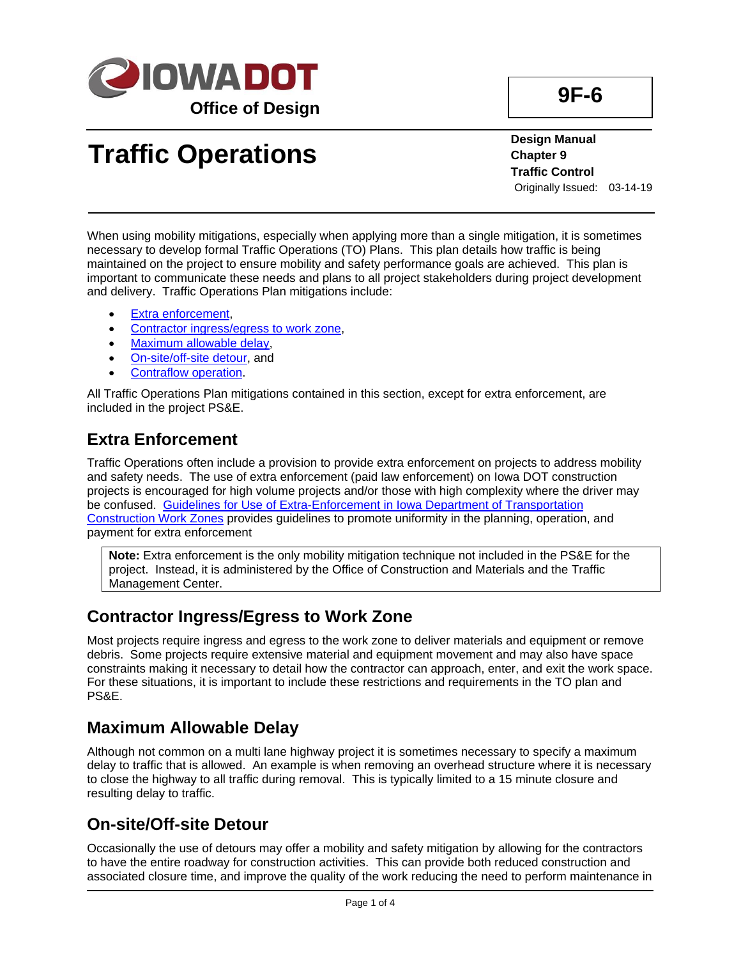

# **Traffic Operations**

**Design Manual Chapter 9 Traffic Control** Originally Issued: 03-14-19

When using mobility mitigations, especially when applying more than a single mitigation, it is sometimes necessary to develop formal Traffic Operations (TO) Plans. This plan details how traffic is being maintained on the project to ensure mobility and safety performance goals are achieved. This plan is important to communicate these needs and plans to all project stakeholders during project development and delivery. Traffic Operations Plan mitigations include:

- [Extra enforcement,](#page-0-0)
- [Contractor ingress/egress to work zone,](#page-0-1)
- [Maximum allowable delay,](#page-0-2)
- [On-site/off-site detour,](#page-0-3) and
- [Contraflow operation.](#page-1-0)

All Traffic Operations Plan mitigations contained in this section, except for extra enforcement, are included in the project PS&E.

## <span id="page-0-0"></span>**Extra Enforcement**

Traffic Operations often include a provision to provide extra enforcement on projects to address mobility and safety needs. The use of extra enforcement (paid law enforcement) on Iowa DOT construction projects is encouraged for high volume projects and/or those with high complexity where the driver may be confused. [Guidelines for Use of Extra-Enforcement in Iowa Department of Transportation](09F-06/Extra_enforcement.pdf)  [Construction Work Zones](09F-06/Extra_enforcement.pdf) provides guidelines to promote uniformity in the planning, operation, and payment for extra enforcement

**Note:** Extra enforcement is the only mobility mitigation technique not included in the PS&E for the project. Instead, it is administered by the Office of Construction and Materials and the Traffic Management Center.

#### <span id="page-0-1"></span>**Contractor Ingress/Egress to Work Zone**

Most projects require ingress and egress to the work zone to deliver materials and equipment or remove debris. Some projects require extensive material and equipment movement and may also have space constraints making it necessary to detail how the contractor can approach, enter, and exit the work space. For these situations, it is important to include these restrictions and requirements in the TO plan and PS&E.

#### <span id="page-0-2"></span>**Maximum Allowable Delay**

Although not common on a multi lane highway project it is sometimes necessary to specify a maximum delay to traffic that is allowed. An example is when removing an overhead structure where it is necessary to close the highway to all traffic during removal. This is typically limited to a 15 minute closure and resulting delay to traffic.

## <span id="page-0-3"></span>**On-site/Off-site Detour**

Occasionally the use of detours may offer a mobility and safety mitigation by allowing for the contractors to have the entire roadway for construction activities. This can provide both reduced construction and associated closure time, and improve the quality of the work reducing the need to perform maintenance in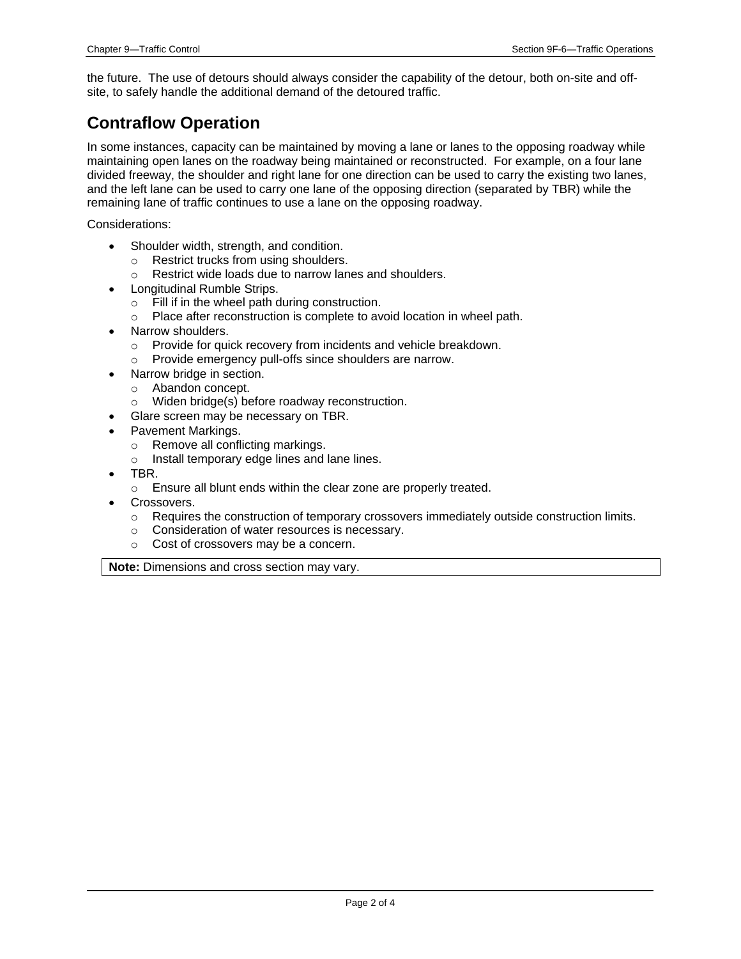the future. The use of detours should always consider the capability of the detour, both on-site and offsite, to safely handle the additional demand of the detoured traffic.

## <span id="page-1-0"></span>**Contraflow Operation**

In some instances, capacity can be maintained by moving a lane or lanes to the opposing roadway while maintaining open lanes on the roadway being maintained or reconstructed. For example, on a four lane divided freeway, the shoulder and right lane for one direction can be used to carry the existing two lanes, and the left lane can be used to carry one lane of the opposing direction (separated by TBR) while the remaining lane of traffic continues to use a lane on the opposing roadway.

Considerations:

- Shoulder width, strength, and condition.
	- o Restrict trucks from using shoulders.
	- o Restrict wide loads due to narrow lanes and shoulders.
- Longitudinal Rumble Strips.
	- o Fill if in the wheel path during construction.
	- o Place after reconstruction is complete to avoid location in wheel path.
- Narrow shoulders.
	- o Provide for quick recovery from incidents and vehicle breakdown.
	- o Provide emergency pull-offs since shoulders are narrow.
- Narrow bridge in section.
	- o Abandon concept.
	- o Widen bridge(s) before roadway reconstruction.
- Glare screen may be necessary on TBR.
- Pavement Markings.
	- o Remove all conflicting markings.
	- o Install temporary edge lines and lane lines.
- TBR.
	- o Ensure all blunt ends within the clear zone are properly treated.
- Crossovers.
	- $\circ$  Requires the construction of temporary crossovers immediately outside construction limits.
	- o Consideration of water resources is necessary.
	- o Cost of crossovers may be a concern.

**Note:** Dimensions and cross section may vary.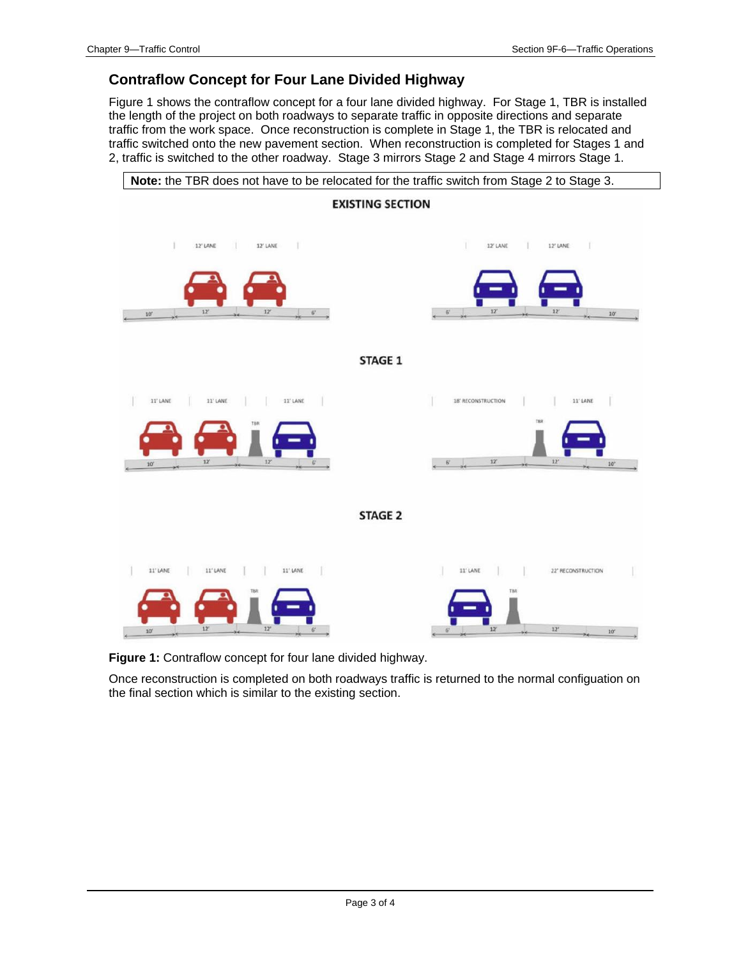#### **Contraflow Concept for Four Lane Divided Highway**

Figure 1 shows the contraflow concept for a four lane divided highway. For Stage 1, TBR is installed the length of the project on both roadways to separate traffic in opposite directions and separate traffic from the work space. Once reconstruction is complete in Stage 1, the TBR is relocated and traffic switched onto the new pavement section. When reconstruction is completed for Stages 1 and 2, traffic is switched to the other roadway. Stage 3 mirrors Stage 2 and Stage 4 mirrors Stage 1.



**Figure 1:** Contraflow concept for four lane divided highway.

Once reconstruction is completed on both roadways traffic is returned to the normal configuation on the final section which is similar to the existing section.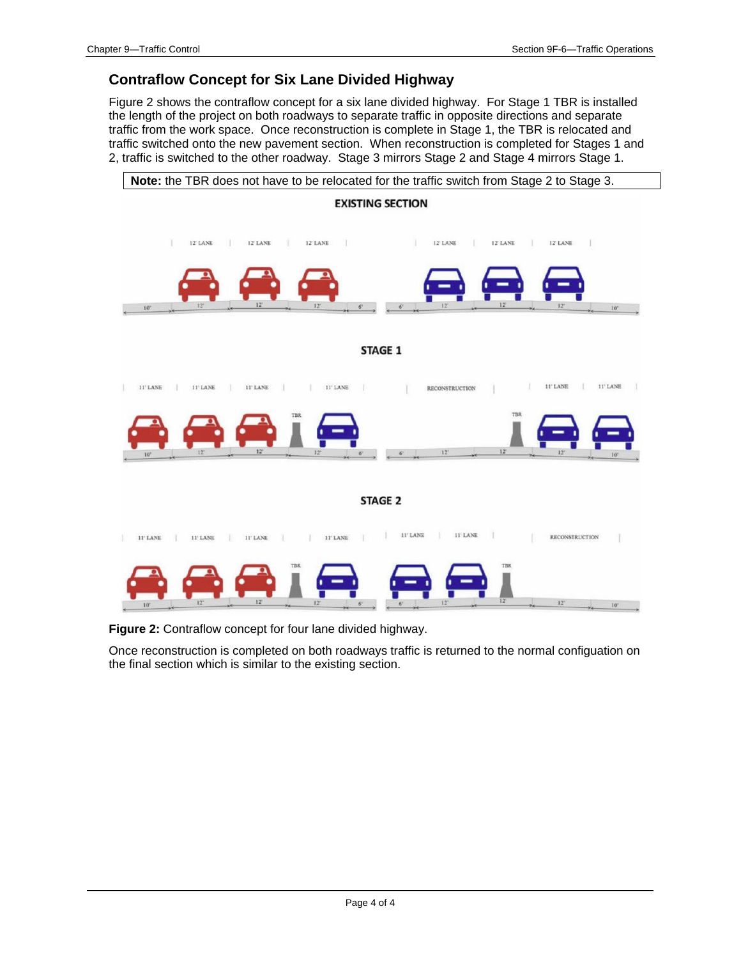#### **Contraflow Concept for Six Lane Divided Highway**

Figure 2 shows the contraflow concept for a six lane divided highway. For Stage 1 TBR is installed the length of the project on both roadways to separate traffic in opposite directions and separate traffic from the work space. Once reconstruction is complete in Stage 1, the TBR is relocated and traffic switched onto the new pavement section. When reconstruction is completed for Stages 1 and 2, traffic is switched to the other roadway. Stage 3 mirrors Stage 2 and Stage 4 mirrors Stage 1.



**Figure 2:** Contraflow concept for four lane divided highway.

Once reconstruction is completed on both roadways traffic is returned to the normal configuation on the final section which is similar to the existing section.